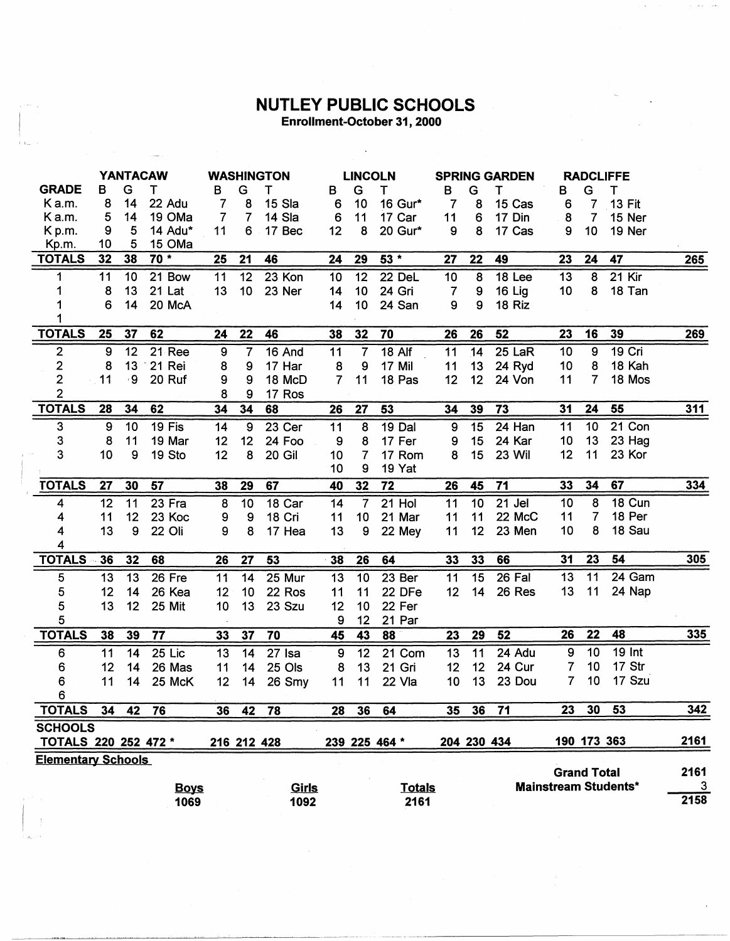## **NUTLEY PUBLIC SCHOOLS**<br>Enrollment-October 31, 2000

 $\ddot{\phantom{a}}$ 

|                           | <b>YANTACAW</b> |    |               | <b>WASHINGTON</b> |                  |          | <b>LINCOLN</b> |                         |                 | <b>SPRING GARDEN</b> |                  |                     | <b>RADCLIFFE</b> |                    |                             |      |
|---------------------------|-----------------|----|---------------|-------------------|------------------|----------|----------------|-------------------------|-----------------|----------------------|------------------|---------------------|------------------|--------------------|-----------------------------|------|
| <b>GRADE</b>              | В               | G  | т             | В                 | G                | т        | в              | G                       | T               | B                    | G                | т                   | В                | G                  | т                           |      |
| Ka.m.                     | 8               | 14 | 22 Adu        | $\overline{7}$    | 8                | 15 Sla   | 6              | 10                      | 16 Gur*         | $\overline{7}$       | 8                | 15 Cas              | 6                | 7                  | <b>13 Fit</b>               |      |
| Ka.m.                     | 5               | 14 | 19 OMa        | 7                 | 7                | 14 Sla   | 6              | 11                      | 17 Car          | 11                   | 6                | 17 Din              | 8                | 7                  | 15 Ner                      |      |
| Kp.m.                     | 9               | 5  | 14 Adu*       | 11                |                  | 6 17 Bec | 12             | 8                       | 20 Gur*         | 9                    | 8                | 17 Cas              | 9                | 10                 | 19 Ner                      |      |
| Kp.m.                     | 10              | 5  | 15 OMa        |                   |                  |          |                |                         |                 |                      |                  |                     |                  |                    |                             |      |
| <b>TOTALS</b>             | 32              | 38 | $70*$         | 25                | 21               | 46       | 24             | 29                      | 53 *            | 27                   | 22               | 49                  | 23               | 24                 | 47                          | 265  |
| 1                         | 11              | 10 | 21 Bow        | 11                | $\overline{12}$  | $23$ Kon | 10             | $\overline{12}$         | 22 DeL          | 10                   | $\boldsymbol{8}$ | 18 <sub>Lee</sub>   | 13               | $\overline{8}$     | $21$ Kir                    |      |
| 1                         | 8               | 13 | 21 Lat        | 13                | 10               | 23 Ner   | 14             | 10                      | 24 Gri          | 7                    | 9                | 16 Lig              | 10               | 8                  | 18 Tan                      |      |
|                           | 6               | 14 | 20 McA        |                   |                  |          | 14             | 10                      | 24 San          | 9                    | 9                | 18 Riz              |                  |                    |                             |      |
|                           |                 |    |               |                   |                  |          |                |                         |                 |                      |                  |                     |                  |                    |                             |      |
| <b>TOTALS</b>             | 25              | 37 | 62            | 24                | 22               | 46       | 38             | 32                      | 70              | 26                   | 26               | 52                  | 23               | 16                 | 39                          | 269  |
| $\boldsymbol{2}$          | $\overline{9}$  | 12 | <b>21 Ree</b> | 9                 | $\overline{7}$   | 16 And   | 11             | $\overline{7}$          | $18$ Alf        | 11                   | 14               | 25 LaR              | 10               | 9                  | 19 Cri                      |      |
| 2                         | 8               | 13 | 21 Rei        | 8                 | 9                | 17 Har   | 8              | 9                       | 17 Mil          | 11                   | 13               | 24 Ryd              | 10               | 8                  | 18 Kah                      |      |
| $\mathbf{2}$              | 11              | ۰9 | 20 Ruf        | 9                 | 9                | 18 McD   | $\overline{7}$ | 11                      | 18 Pas          | 12                   | 12               | 24 Von              | 11               | 7                  | 18 Mos                      |      |
| 2                         |                 |    |               | 8                 | 9                | 17 Ros   |                |                         |                 |                      |                  |                     |                  |                    |                             |      |
| <b>TOTALS</b>             | 28              | 34 | 62            | 34                | 34               | 68       | 26             | 27                      | 53              | 34                   | 39               | 73                  | 31               | 24                 | 55                          | 311  |
| 3                         | 9               | 10 | 19 Fis        | 14                | $\boldsymbol{9}$ | 23 Cer   | 11             | $\overline{8}$          | $19$ Dal        | $\boldsymbol{9}$     | 15               | $24$ Han            | 11               | 10                 | 21 Con                      |      |
| 3                         | 8               | 11 | 19 Mar        | 12                | 12               | 24 Foo   | 9              | 8                       | 17 Fer          | 9                    | 15               | 24 Kar              | 10               | 13                 | 23 Hag                      |      |
| 3                         | 10              | 9  | 19 Sto        | 12                | 8                | 20 Gil   | 10             | $\overline{7}$          | 17 Rom          | 8                    | 15               | 23 Wil              | 12               | 11                 | 23 Kor                      |      |
|                           |                 |    |               |                   |                  |          | 10             | 9                       | 19 Yat          |                      |                  |                     |                  |                    |                             |      |
| <b>TOTALS</b>             | 27              | 30 | 57            | 38                | 29               | 67       | 40             | 32                      | $\overline{72}$ | 26                   | 45               | 71                  | 33               | 34                 | 67                          | 334  |
| 4                         | 12              | 11 | 23 Fra        | 8                 | $\overline{10}$  | 18 Car   | 14             | $\overline{\mathbf{7}}$ | $21$ Hol        | 11                   | 10               | $\overline{21}$ Jel | 10               | 8                  | 18 Cun                      |      |
| 4                         | 11              | 12 | 23 Koc        | 9                 | 9                | 18 Cri   | 11             | 10 <sub>1</sub>         | 21 Mar          | 11                   | 11               | 22 McC              | 11               | $\overline{7}$     | 18 Per                      |      |
| 4                         | 13              | 9  | 22 Oli        | 9                 | 8                | 17 Hea   | 13             | 9                       | 22 Mey          | 11                   | 12               | 23 Men              | 10               | 8                  | 18 Sau                      |      |
| 4                         |                 |    |               |                   |                  |          |                |                         |                 |                      |                  |                     |                  |                    |                             |      |
| <b>TOTALS</b>             | 36              | 32 | 68            | 26                | 27               | 53       | 38             | 26                      | 64              | 33                   | 33               | 66                  | 31               | 23                 | 54                          | 305  |
| 5                         | 13              | 13 | 26 Fre        | 11                | 14               | 25 Mur   | 13             | $\overline{10}$         | 23 Ber          | 11                   | 15               | 26 Fal              | 13               | $\overline{11}$    | 24 Gam                      |      |
| 5                         | 12              | 14 | 26 Kea        | 12                | 10               | 22 Ros   | 11             | 11                      | 22 DFe          | 12                   | 14               | 26 Res              | 13               | 11                 | 24 Nap                      |      |
| 5                         | 13              | 12 | 25 Mit        | 10                | 13               | 23 Szu   | 12             | 10                      | 22 Fer          |                      |                  |                     |                  |                    |                             |      |
| 5                         |                 |    |               |                   |                  |          | 9              | 12                      | 21 Par          |                      |                  |                     |                  |                    |                             |      |
| <b>TOTALS</b>             | 38              | 39 | 77            | 33                | 37               | 70       | 45             | 43                      | 88              | 23                   | 29               | 52                  | 26               | 22                 | 48                          | 335  |
| 6                         | 11              | 14 | 25 Lic        | 13                | 14               | 27 Isa   | 9              | 12                      | 21 Com          | 13                   | 11               | 24 Adu              | 9                | 10                 | <b>19 Int</b>               |      |
| 6                         | 12              | 14 | 26 Mas        | 11                | 14               | 25 Ols   | 8              | 13                      | 21 Gri          | 12                   | 12               | 24 Cur              | 7                | 10                 | 17 Str                      |      |
| 6                         | 11              | 14 | 25 McK        | 12                | 14               | 26 Smy   | 11             | 11                      | 22 Vla          | 10                   | 13               | 23 Dou              | 7                | 10                 | 17 Szu                      |      |
| $6\phantom{a}$            |                 |    |               |                   |                  |          |                |                         |                 |                      |                  |                     |                  |                    |                             |      |
| <b>TOTALS</b>             | 34              | 42 | 76            | 36                | 42               | 78       | 28             | 36                      | 64              | 35                   | 36               | 71                  | 23               | 30                 | 53                          | 342  |
| <b>SCHOOLS</b>            |                 |    |               |                   |                  |          |                |                         |                 |                      |                  |                     |                  |                    |                             |      |
| TOTALS 220 252 472 *      |                 |    |               |                   | 216 212 428      |          |                |                         | 239 225 464 *   |                      | 204 230 434      |                     |                  |                    | 190 173 363                 | 2161 |
| <b>Elementary Schools</b> |                 |    |               |                   |                  |          |                |                         |                 |                      |                  |                     |                  |                    |                             |      |
|                           |                 |    |               |                   |                  |          |                |                         |                 |                      |                  |                     |                  | <b>Grand Total</b> |                             | 2161 |
|                           |                 |    | <b>Boys</b>   |                   |                  | Girls    |                |                         | <b>Totals</b>   |                      |                  |                     |                  |                    | <b>Mainstream Students*</b> | 3    |
|                           |                 |    | 1069          |                   |                  | 1092     |                |                         | 2161            |                      |                  |                     |                  |                    |                             | 2158 |